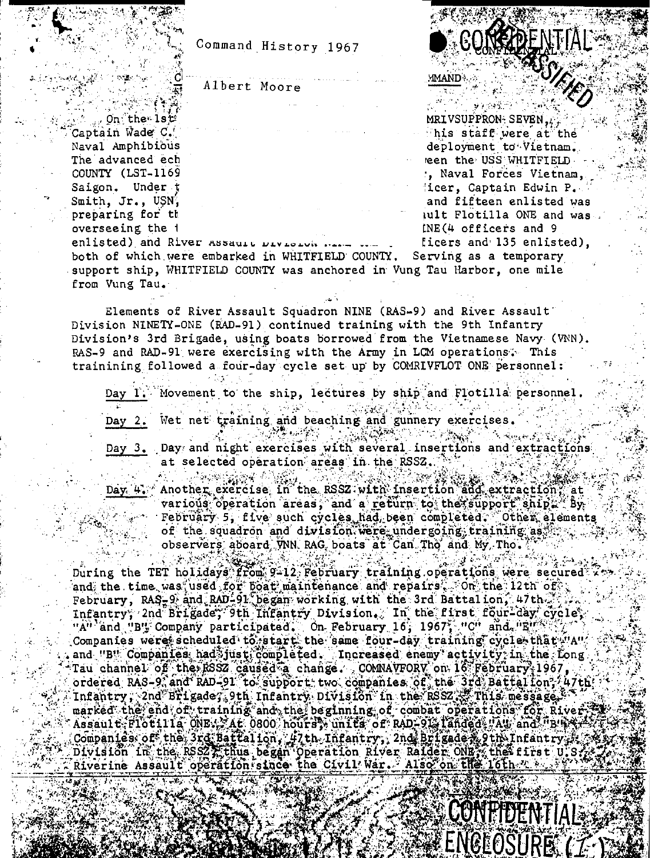Command History 1967

Albert Moore

. On the lst Captain Wade C. Naval Amphibious The advanced ech COUNTY (LST-1169 Saigon. Under t Smith, Jr., USN, preparing for the overseeing the 1

**ASSIENCE** MRIVSUPPRON-SEVEN, This staff were at the deployment to Vietnam. een the USS WHITFIELD. , Naval Forces Vietnam, ficer, Captain Edwin P. and fifteen enlisted was iult Flotilla ONE and was. INE(4 officers and 9 ficers and 135 enlisted).

BOSHRE

MMAND.

enlisted) and River Assault Division both of which were embarked in WHITFIELD COUNTY. Serving as a temporary support ship, WHITFIELD COUNTY was anchored in Vung Tau Harbor, one mile from Vung Tau.

Elements of River Assault Squadron NINE (RAS-9) and River Assault Division NINETY-ONE (RAD-91) continued training with the 9th Infantry Division's 3rd Brigade, using boats borrowed from the Vietnamese Navy (VNN). RAS-9 and RAD-91 were exercising with the Army in LCM operations. This trainining followed a four-day cycle set up by COMRIVFLOT ONE personnel:

Day I. Movement to the ship, lectures by ship and Flotilla personnel.

Day 2. Wet net training and beaching and gunnery exercises.

 $\mathbb{E}_{\mathbf{X}}\left(\mathbf{X}^{(k)}\right) \leq \mathbb{E}_{\mathbf{X}}\left(\mathbf{X}^{(k)}\right) \leq \mathbb{E}_{\mathbf{X}}\left(\mathbf{X}^{(k)}\right)$ Day 3. Day and night exercises with several insertions and extractions at selected operation areas in the RSSZ.

ल के प्रोश्रेष्ठ के की की ल elydger (s Day 4. Another exercise in the RSSZ with insertion and extraction, at various operation areas, and a return to the support ship. By February 5, five such cycles had been completed. Other elements of the squadron and division were undergoing training as observers aboard WNN RAG boats at Can Tho and My Tho.

During the TET holidays from 9-12 February training operations were secured and the time was used for boat maintenance and repairs. On the 12th of February, RAS-9 and RAD-91 began working with the 3rd Battalion, 47th. Infantry; 2nd Brigade; 9th Infantry Division. In the first four-day cycle, "A" and "B" Company participated. On February 16, 1967, "C" and "E" Companies were scheduled to start the same four-day training cycle that "A" and "B" Companies had just completed. Increased enemy activity in the fong Tau channel of the RSSZ caused a change. COMNAVFORV on 16 February 1967, ordered RAS-9, and RAD-91 to support two companies of the 3rd Battallon, 47th; Infantry, 2nd Brigade, 9th Infantry Division in the RSSZ, This message, 1 marked the end of training and the beginning of combat operations for River Assault Flotilla ONE: At 0800 hours, units of RAD-91, landed "Au and "B" R+ Companies of the 3rd Battalion, 47th Infantry, 2nd Brigade # 9th Infantry, Division in the RSS2 . thus began Operation River Raider ONE, the 16th Trist U.S.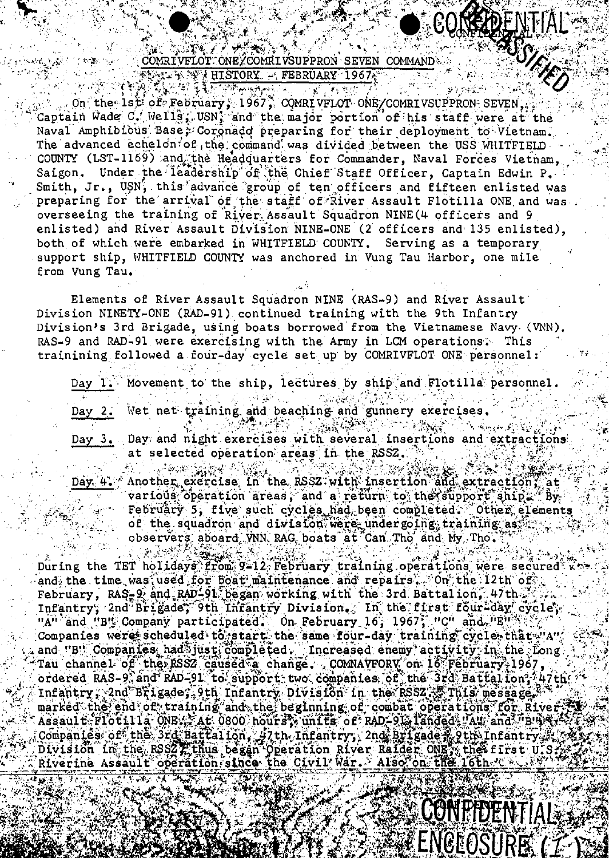## يكاريخية COMRIVELOT: ONE/COMRIVSUPPRON SEVEN COMMAND ALEXAN HISTORY - FEBRUARY 1967.

 $\mathbb{E} \times \mathbb{E} \times \mathbb{E} \times \mathbb{E}$ 

**RSSIEL** 

**CONFIDENTIAL** 

ENCLOSURE

**AND AND A LOCATION APPLICATION OF PERSONAL PROPERTY** On the 1st of February, 1967, COMRIVFLOT ONE/COMRIVSUPPRON SEVEN. Captain Wade C. Wells, USN, and the major portion of his staff were at the Naval Amphibious Base; Coronado preparing for their deployment to Vietnam. The advanced echelon of the command was divided between the USS WHITFIELD COUNTY (LST-1169) and the Headquarters for Commander, Naval Forces Vietnam, Under the leadership of the Chief Staff Officer, Captain Edwin P. Saigon. Smith. Jr., USN, this advance group of ten officers and fifteen enlisted was preparing for the arrival of the staff of River Assault Flotilla ONE and was overseeing the training of River Assault Squadron NINE(4 officers and 9 enlisted) and River Assault Division NINE-ONE (2 officers and 135 enlisted), both of which were embarked in WHITFIELD COUNTY. Serving as a temporary support ship, WHITFIELD COUNTY was anchored in Vung Tau Harbor, one mile from Vung Tau.

Elements of River Assault Squadron NINE (RAS-9) and River Assault Division NINETY-ONE (RAD-91) continued training with the 9th Infantry Division's 3rd Brigade, using boats borrowed from the Vietnamese Navy (VNN). RAS-9 and RAD-91 were exercising with the Army in LCM operations. This trainining followed a four-day cycle set up by COMRIVFLOT ONE personnel:

Movement to the ship, lectures by ship and Flotilla personnel. Day I. Wet net training and beaching and gunnery exercises. Day  $2.1$ A DAN TUNGKAN **大学学家 MAR** Day 3. Day and night exercises with several insertions and extractions at selected operation areas in the RSSZ. 

Day 4. Another exercise in the RSSZ with insertion and extraction, at various operation areas, and a return to the support ship. By February 5, five such cycles had been completed. Other elements of the squadron and division were undergoing training as observers aboard VNN RAG boats at Can Tho and My Tho.

During the TET holidays from 9-12 February training operations were secured and the time was used for boat maintenance and repairs. On the 12th of. February, RAS-9 and RAD-91 began working with the 3rd Battalion, 47th. Infantry; 2nd Brigade; 9th Infantry Division. In the first four-day cycle; uAu'and "Bu Company participated. On February 16, 1967, "C" and "E" " " "<br>Companies were scheduled to getart the same four-day training cycles that "A" and "B" Companies had just completed. Increased enemy activity in the fong Tau channel of the RSSZ caused a change. COMNAVFORV on 16 February 1967, ordered RAS-9, and RAD-91 to support two companies of the 3rd Battalion, 47th Infantry, 2nd Brigade, 9th Infantry Division in the RSSZ. This message, marked the end of training and the beginning of combat operations for River Assault Flotilla ONE: At 0800 hours, units of RAD-91, landed, Au, and the \$2 Companies of the 3rd Battalion, 47th Infantry, 2nd Brigade , 9th Infantry , Division in the RSS2 Ethus began Operation River Raider ONE, the first U.S.